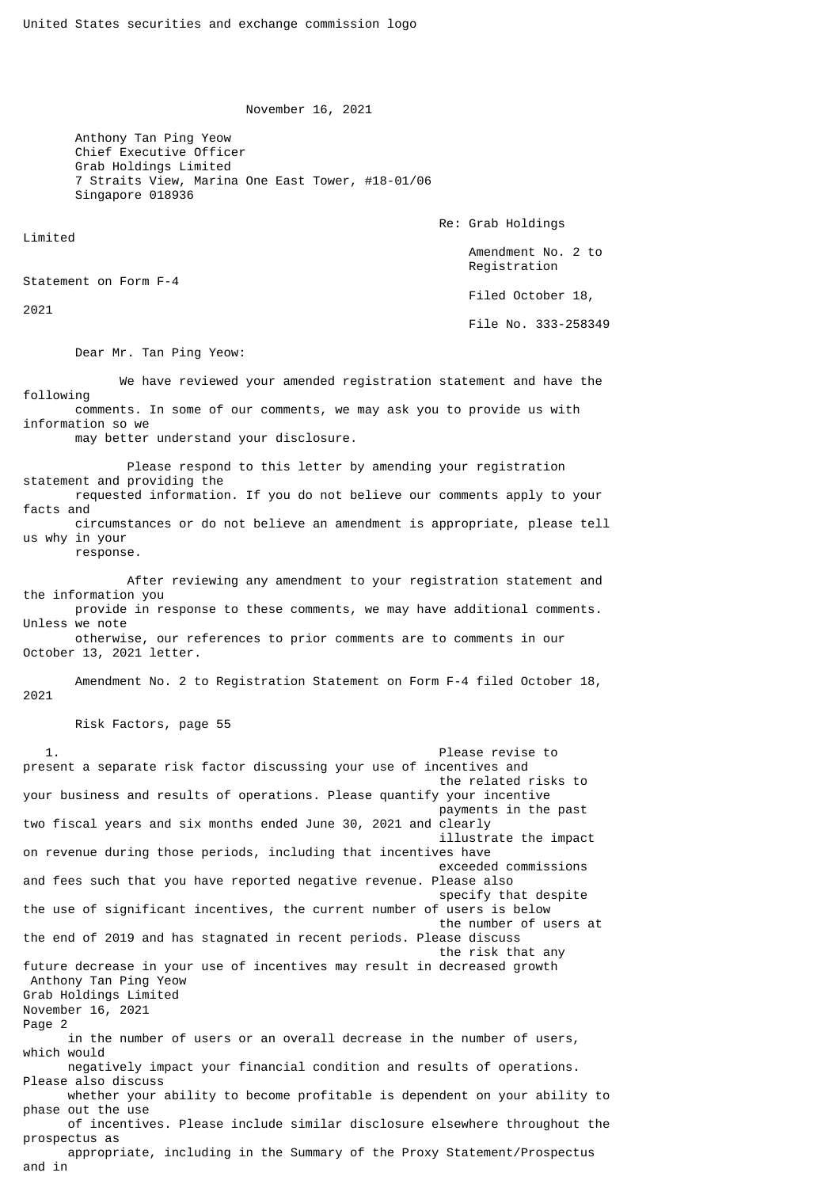November 16, 2021

 Anthony Tan Ping Yeow Chief Executive Officer Grab Holdings Limited 7 Straits View, Marina One East Tower, #18-01/06 Singapore 018936

Re: Grab Holdings

 Amendment No. 2 to Registration

Filed October 18,

File No. 333-258349

Dear Mr. Tan Ping Yeow:

 We have reviewed your amended registration statement and have the following comments. In some of our comments, we may ask you to provide us with information so we

may better understand your disclosure.

 Please respond to this letter by amending your registration statement and providing the requested information. If you do not believe our comments apply to your facts and circumstances or do not believe an amendment is appropriate, please tell us why in your

response.

Limited

2021

Statement on Form F-4

 After reviewing any amendment to your registration statement and the information you provide in response to these comments, we may have additional comments.

Unless we note otherwise, our references to prior comments are to comments in our

October 13, 2021 letter.

 Amendment No. 2 to Registration Statement on Form F-4 filed October 18, 2021

Risk Factors, page 55

Please revise to present a separate risk factor discussing your use of incentives and the related risks to your business and results of operations. Please quantify your incentive payments in the past two fiscal years and six months ended June 30, 2021 and clearly illustrate the impact on revenue during those periods, including that incentives have exceeded commissions and fees such that you have reported negative revenue. Please also specify that despite the use of significant incentives, the current number of users is below the number of users at the end of 2019 and has stagnated in recent periods. Please discuss the risk that any future decrease in your use of incentives may result in decreased growth Anthony Tan Ping Yeow Grab Holdings Limited November 16, 2021 Page 2 in the number of users or an overall decrease in the number of users, which would negatively impact your financial condition and results of operations. Please also discuss whether your ability to become profitable is dependent on your ability to phase out the use of incentives. Please include similar disclosure elsewhere throughout the prospectus as appropriate, including in the Summary of the Proxy Statement/Prospectus and in